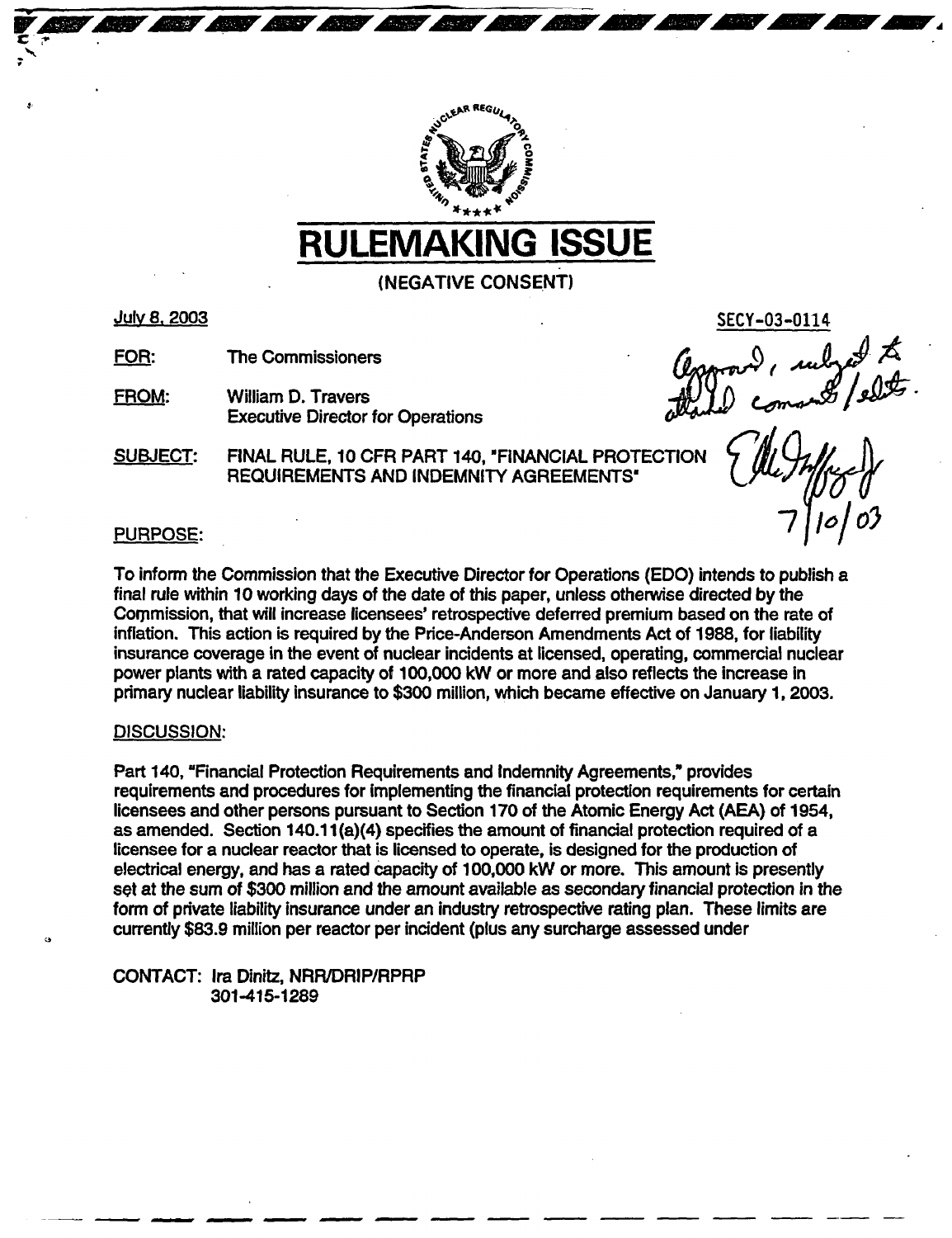

# RULEMAKING ISSUE

(NEGATIVE CONSENT)

## July 8. 2003

FOR: The Commissioners

FROM: William D. Travers<br>William D. Travers William D. Travers 1970 Executive Director for Operations

SUBJECT: FINAL RULE, 10 CFR PART 140, 'FINANCIAL PROTECTION REQUIREMENTS AND INDEMNITY AGREEMENTS"

*-1/lo*

SECY-03-011

# PURPOSE:

To inform the Commission that the Executive Director for Operations (EDO) intends to publish a final rule within 10 working days of the date of this paper, unless otherwise directed by the Commission, that will increase licensees' retrospective deferred premium based on the rate of inflation. This action is required by the Price-Anderson Amendments Act of 1988, for liability insurance coverage in the event of nuclear incidents at licensed, operating, commercial nuclear power plants with a rated capacity of 100,000 kW or more and also reflects the increase in primary nuclear liability insurance to \$300 million, which became effective on January 1, 2003.

## DISCUSSION:

*'3*

Part 140, "Financial Protection Requirements and Indemnity Agreements," provides requirements and procedures for implementing the financial protection requirements for certain licensees and other persons pursuant to Section 170 of the Atomic Energy Act (AEA) of 1954, as amended. Section 140.1 1(a)(4) specifies the amount of financial protection required of a licensee for a nuclear reactor that is licensed to operate, is designed for the production of electrical energy, and has a rated capacity of 100,000 kW or more. This amount is presently set at the sum of \$300 million and the amount available as secondary financial protection in the form of private liability insurance under an industry retrospective rating plan. These limits are currently \$83.9 million per reactor per incident (plus any surcharge assessed under

- - -… .

CONTACT: Ira Dinitz, NRR/DRIP/RPRP 301-415-1289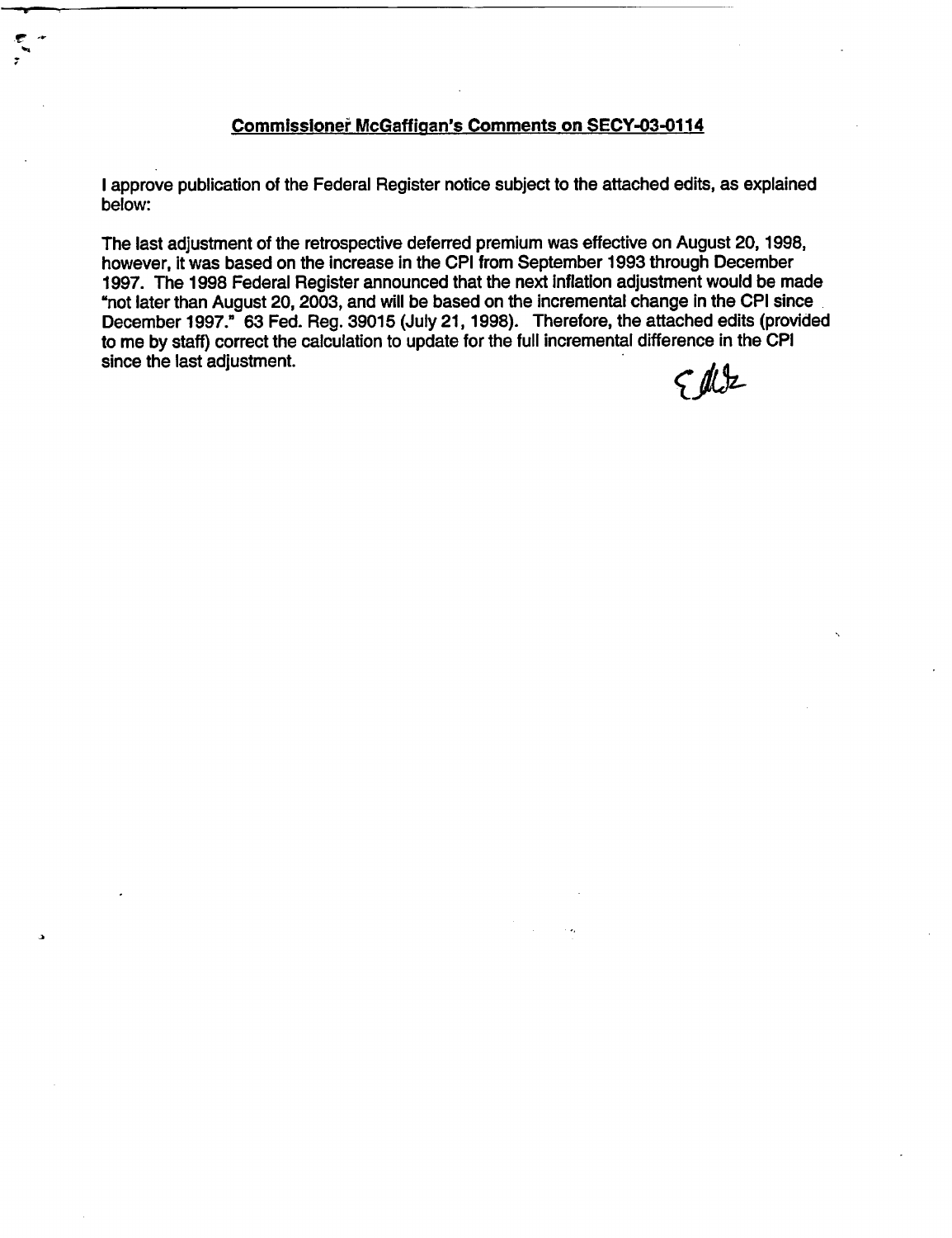## Commissioner McGaffigan's Comments on SECY-03-0114

I approve publication of the Federal Register notice subject to the attached edits, as explained below:

The last adjustment of the retrospective deferred premium was effective on August 20,1998, however, it was based on the increase in the CPI from September 1993 through December 1997. The 1998 Federal Register announced that the next Inflation adjustment would be made "not later than August 20, 2003, and will be based on the incremental change in the CPI since December 1997." 63 Fed. Reg. 39015 (July 21, 1998). Therefore, the attached edits (provided to me by staff) correct the calculation to update for the full incremental difference in the CPI since the last adjustment.

a

 $942$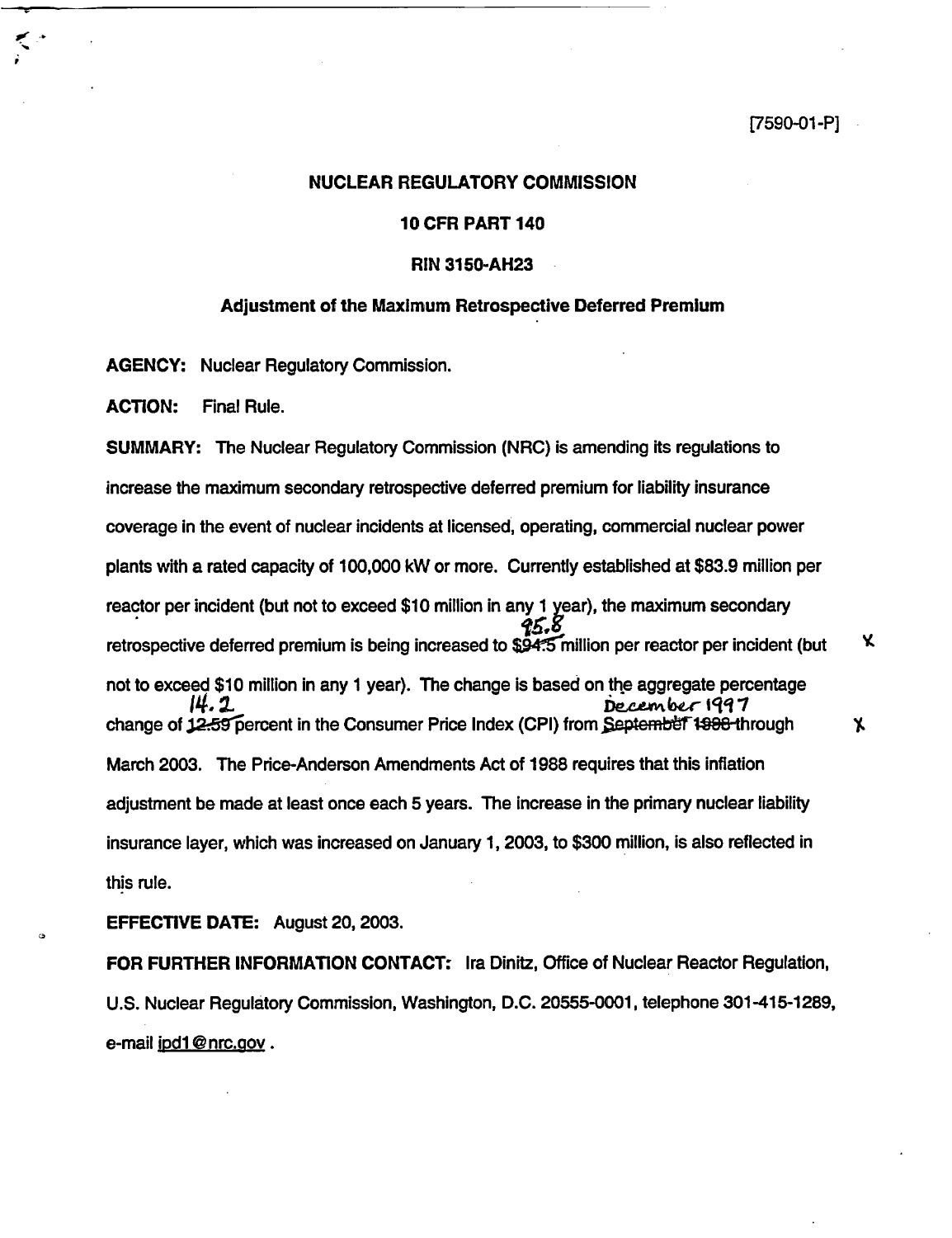#### **[7590-01** -P]

#### NUCLEAR REGULATORY COMMISSION

#### 10 CFR PART 140

#### **RIN 3150-AH23**

# **Adjustment of the Maximum Retrospective Deferred Premium**

AGENCY: Nuclear Regulatory Commission.

ACTION: Final Rule.

SUMMARY: The Nuclear Regulatory Commission (NRC) is amending its regulations to increase the maximum secondary retrospective deferred premium for liability insurance coverage in the event of nuclear incidents at licensed, operating, commercial nuclear power plants with a rated capacity of 100,000 kW or more. Currently established at \$83.9 million per reactor per incident (but not to exceed \$10 million in any 1 year), the maximum secondary<br> $\frac{25.8}{9.5}$ Κ retrospective deferred premium is being increased to  $$94.5$  million per reactor per incident (but not to exceed \$10 million in any 1 year). The change is based on the aggregate percentage 14.2 **December 1997** change of 12.59 percent in the Consumer Price Index (CPI) from September 1998 through  $\mathbf{X}$ March 2003. The Price-Anderson Amendments Act of 1988 requires that this inflation adjustment be made at least once each 5 years. The increase in the primary nuclear liability insurance layer, which was increased on January 1, 2003, to \$300 million, is also reflected in this rule.

EFFECTIVE DATE: August 20, 2003.

FOR FURTHER INFORMATION CONTACT: Ira Dinitz, Office of Nuclear Reactor Regulation, U.S. Nuclear Regulatory Commission, Washington, D.C. 20555-0001, telephone 301-415-1289, e-mail jpd1@nrc.gov.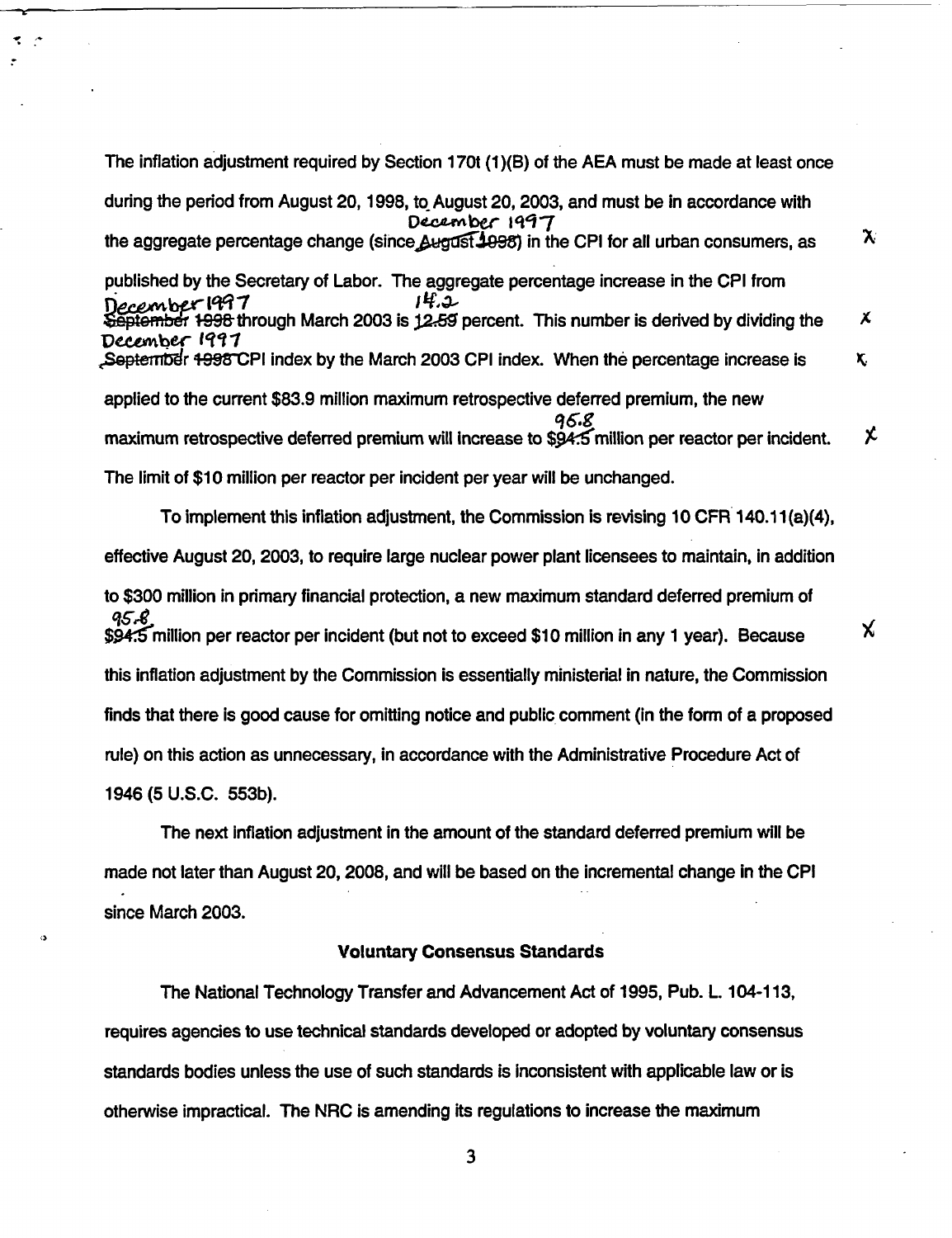The inflation adjustment required by Section 170t (1)(B) of the AEA must be made at least once during the period from August 20,1998, to August 20, 2003, and must be in accordance with December 1997 the aggregate percentage change (since August 1998) in the CPI for all urban consumers, as  $X$ published by the Secretary of Labor. The aggregate percentage increase in the CPI from ر2. تا ا :6 December<sup>-1947</sup><br>September 1998 through March 2003 is 12-59 percent. This number is derived by dividing the X December 1997 September  $+998$ CPI index by the March 2003 CPI index. When the percentage increase is  $\kappa$ applied to the current \$83.9 million maximum retrospective deferred premium, the new q6.8<br>maximum retrospective deferred premium will increase to \$94.5 million per reactor per incident. χ The limit of \$10 million per reactor per incident per year will be unchanged. To implement this inflation adjustment, the Commission is revising 10 CFR 140.11 (a)(4),

effective August 20, 2003, to require large nuclear power plant licensees to maintain, in addition to \$300 million in primary financial protection, a new maximum standard deferred premium of 95.8 \$94:5 million per reactor per incident (but not to exceed \$10 million in any 1 year). Because this inflation adjustment by the Commission is essentially ministerial in nature, the Commission finds that there is good cause for omitting notice and public comment (in the form of a proposed rule) on this action as unnecessary, in accordance with the Administrative Procedure Act of 1946 (5 U.S.C. 553b).

X.

The next inflation adjustment in the amount of the standard deferred premium will be made not later than August 20, 2008, and will be based on the incremental change in the CPI since March 2003.

 $\bullet$ 

#### Voluntary Consensus Standards

The National Technology Transfer and Advancement Act of 1995, Pub. L. 104-113, requires agencies to use technical standards developed or adopted by voluntary consensus standards bodies unless the use of such standards is inconsistent with applicable law or is otherwise impractical. The NRC is amending its regulations to increase the maximum

3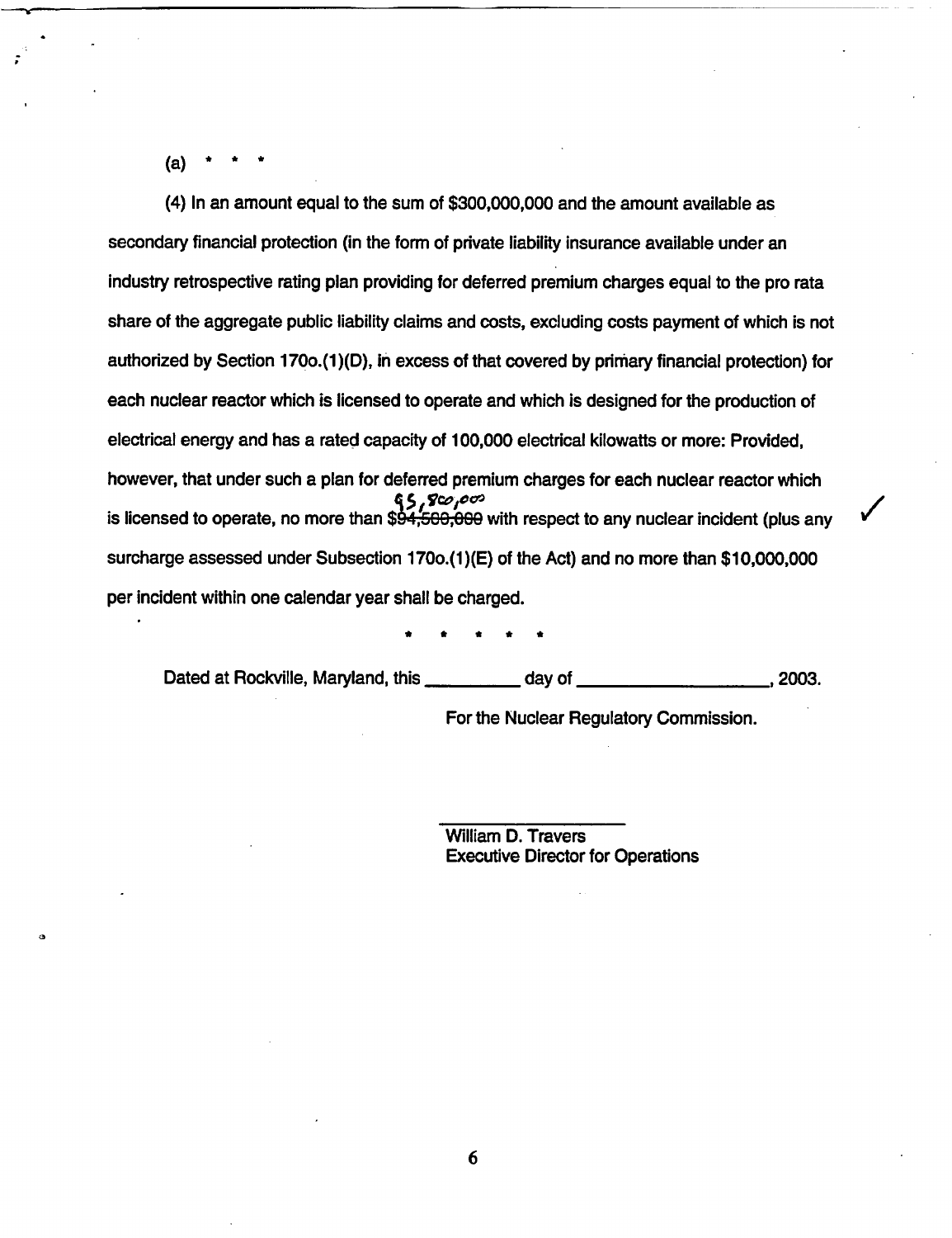$(a)$ 

(4) In an amount equal to the sum of \$300,000,000 and the amount available as secondary financial protection (in the form of private liability insurance available under an industry retrospective rating plan providing for deferred premium charges equal to the pro rata share of the aggregate public liability claims and costs, excluding costs payment of which is not authorized by Section 1700.(1)(D), in excess of that covered by primary financial protection) for each nuclear reactor which is licensed to operate and which is designed for the production of electrical energy and has a rated capacity of 100,000 electrical kilowatts or more: Provided, however, that under such a plan for deferred premium charges for each nuclear reactor which is licensed to operate, no more than \$94,500,000 with respect to any nuclear incident (plus any is licensed to operate, no more than \$94,500,000 with respect to any nuclear incident (plus any surcharge assessed under Subsection 1700.(1 )(E) of the Act) and no more than \$10,000,000 per incident within one calendar year shall be charged.

\* \* \* \* \*

Dated at Rockville, Maryland, this \_\_\_\_\_\_\_\_\_\_\_\_ day of \_\_\_\_\_\_\_\_\_\_\_\_\_\_\_\_\_\_\_\_\_\_\_\_, 2003.

For the Nuclear Regulatory Commission.

William D. Travers Executive Director for Operations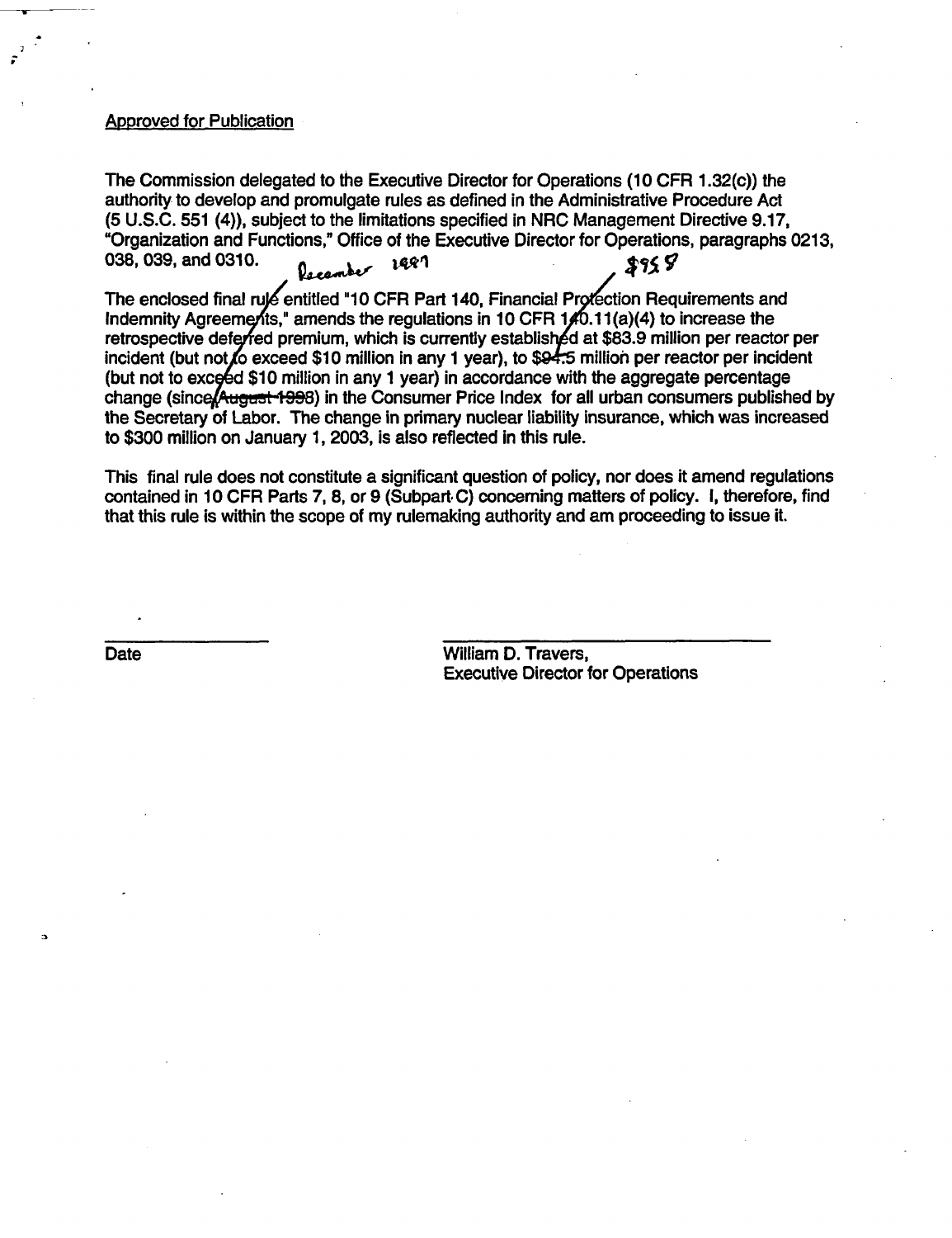#### **Approved for Publication**

S

The Commission delegated to the Executive Director for Operations (10 CFR 1.32(c)) the authority to develop and promulgate rules as defined in the Administrative Procedure Act (5 U.S.C. 551 (4)), subject to the limitations specified in NRC Management Directive 9.17, "Organization and Functions," Office of the Executive Director for Operations, paragraphs 0213, 038, 039, and 0310.  $\ell_{\text{seamber}}$  1481 \$95 S

The enclosed final rule entitled "10 CFR Part 140, Financial Protection Requirements and Indemnity Agreements," amends the regulations in 10 CFR  $1/0.11(a)(4)$  to increase the retrospective deferred premium, which is currently established at \$83.9 million per reactor per incident (but not to exceed \$10 million in any 1 year), to \$94.5 million per reactor per incident (but not to exceed \$10 million in any 1 year) in accordance with the aggregate percentage change (since August 1998) in the Consumer Price Index for all urban consumers published by the Secretary of Labor. The change in primary nuclear liability insurance, which was increased to \$300 million on January 1, 2003, is also reflected in this rule.

This final rule does not constitute a significant question of policy, nor does it amend regulations contained in 10 CFR Parts 7, 8, or 9 (Subpart. C) concerning matters of policy. I, therefore, find that this rule is within the scope of my rulemaking authority and am proceeding to issue it.

a

Date **Date William D. Travers,** Executive Director for Operations